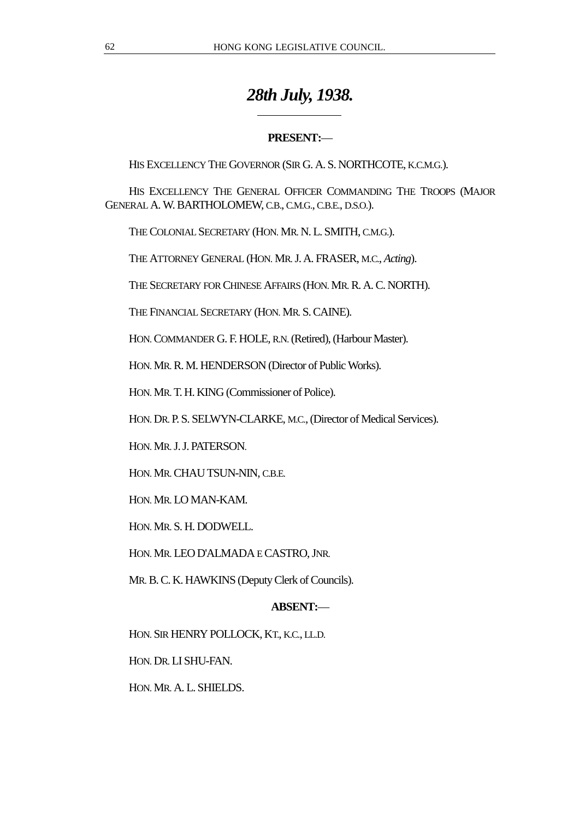# *28th July, 1938.*

## **PRESENT:**—

HIS EXCELLENCY THE GOVERNOR (SIR G. A. S. NORTHCOTE, K.C.M.G.).

HIS EXCELLENCY THE GENERAL OFFICER COMMANDING THE TROOPS (MAJOR GENERAL A. W. BARTHOLOMEW, C.B., C.M.G., C.B.E., D.S.O.).

THE COLONIAL SECRETARY (HON. MR. N. L. SMITH, C.M.G.).

 $\overline{a}$ 

THE ATTORNEY GENERAL (HON. MR. J. A. FRASER, M.C., *Acting*).

THE SECRETARY FOR CHINESE AFFAIRS (HON. MR. R. A. C. NORTH).

THE FINANCIAL SECRETARY (HON. MR. S. CAINE).

HON. COMMANDER G. F. HOLE, R.N. (Retired), (Harbour Master).

HON. MR. R. M. HENDERSON (Director of Public Works).

HON. MR. T. H. KING (Commissioner of Police).

HON. DR. P. S. SELWYN-CLARKE, M.C., (Director of Medical Services).

HON. MR. J. J. PATERSON.

HON. MR. CHAU TSUN-NIN, C.B.E.

HON. MR. LO MAN-KAM.

HON. MR. S. H. DODWELL.

HON. MR. LEO D'ALMADA E CASTRO, JNR.

MR. B. C. K. HAWKINS (Deputy Clerk of Councils).

## **ABSENT:**—

HON. SIR HENRY POLLOCK, KT., K.C., LL.D.

HON. DR. LI SHU-FAN.

HON. MR. A. L. SHIELDS.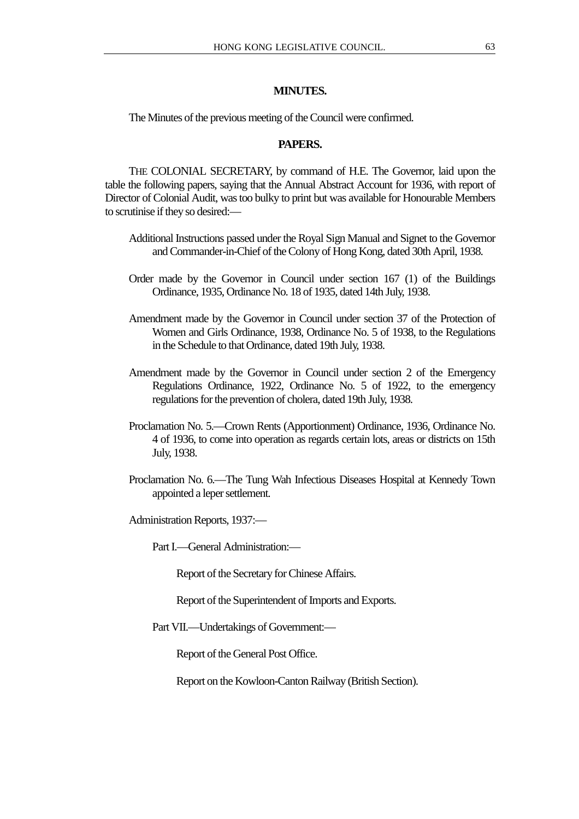## **MINUTES.**

The Minutes of the previous meeting of the Council were confirmed.

## **PAPERS.**

THE COLONIAL SECRETARY, by command of H.E. The Governor, laid upon the table the following papers, saying that the Annual Abstract Account for 1936, with report of Director of Colonial Audit, was too bulky to print but was available for Honourable Members to scrutinise if they so desired:—

- Additional Instructions passed under the Royal Sign Manual and Signet to the Governor and Commander-in-Chief of the Colony of Hong Kong, dated 30th April, 1938.
- Order made by the Governor in Council under section 167 (1) of the Buildings Ordinance, 1935, Ordinance No. 18 of 1935, dated 14th July, 1938.
- Amendment made by the Governor in Council under section 37 of the Protection of Women and Girls Ordinance, 1938, Ordinance No. 5 of 1938, to the Regulations in the Schedule to that Ordinance, dated 19th July, 1938.
- Amendment made by the Governor in Council under section 2 of the Emergency Regulations Ordinance, 1922, Ordinance No. 5 of 1922, to the emergency regulations for the prevention of cholera, dated 19th July, 1938.
- Proclamation No. 5.—Crown Rents (Apportionment) Ordinance, 1936, Ordinance No. 4 of 1936, to come into operation as regards certain lots, areas or districts on 15th July, 1938.
- Proclamation No. 6.—The Tung Wah Infectious Diseases Hospital at Kennedy Town appointed a leper settlement.

Administration Reports, 1937:—

Part I.—General Administration:—

Report of the Secretary for Chinese Affairs.

Report of the Superintendent of Imports and Exports.

Part VII.—Undertakings of Government:—

Report of the General Post Office.

Report on the Kowloon-Canton Railway (British Section).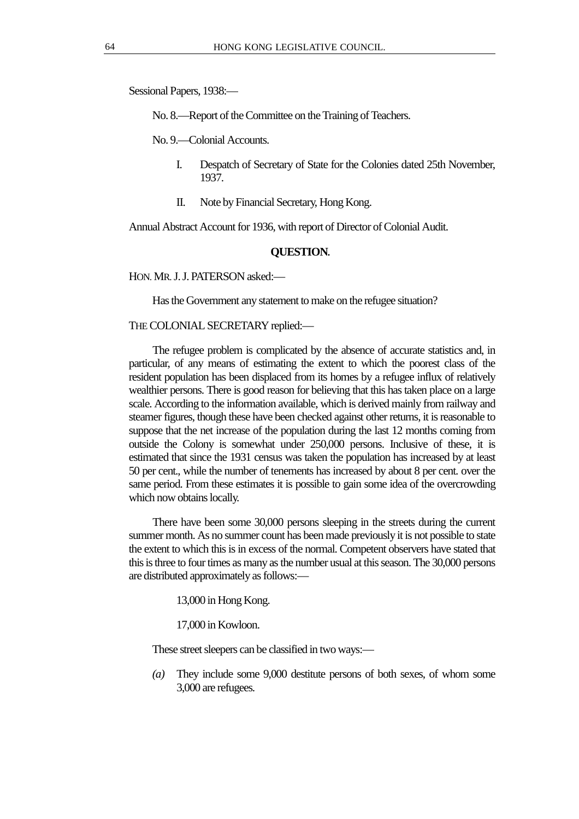Sessional Papers, 1938:—

No. 8.—Report of the Committee on the Training of Teachers.

No. 9.—Colonial Accounts.

- I. Despatch of Secretary of State for the Colonies dated 25th November, 1937.
- II. Note by Financial Secretary, Hong Kong.

Annual Abstract Account for 1936, with report of Director of Colonial Audit.

#### **QUESTION.**

HON. MR. J. J. PATERSON asked:—

Has the Government any statement to make on the refugee situation?

THE COLONIAL SECRETARY replied:—

The refugee problem is complicated by the absence of accurate statistics and, in particular, of any means of estimating the extent to which the poorest class of the resident population has been displaced from its homes by a refugee influx of relatively wealthier persons. There is good reason for believing that this has taken place on a large scale. According to the information available, which is derived mainly from railway and steamer figures, though these have been checked against other returns, it is reasonable to suppose that the net increase of the population during the last 12 months coming from outside the Colony is somewhat under 250,000 persons. Inclusive of these, it is estimated that since the 1931 census was taken the population has increased by at least 50 per cent., while the number of tenements has increased by about 8 per cent. over the same period. From these estimates it is possible to gain some idea of the overcrowding which now obtains locally.

There have been some 30,000 persons sleeping in the streets during the current summer month. As no summer count has been made previously it is not possible to state the extent to which this is in excess of the normal. Competent observers have stated that this is three to four times as many as the number usual at this season. The 30,000 persons are distributed approximately as follows:—

13,000 in Hong Kong.

17,000 in Kowloon.

These street sleepers can be classified in two ways:—

*(a)* They include some 9,000 destitute persons of both sexes, of whom some 3,000 are refugees.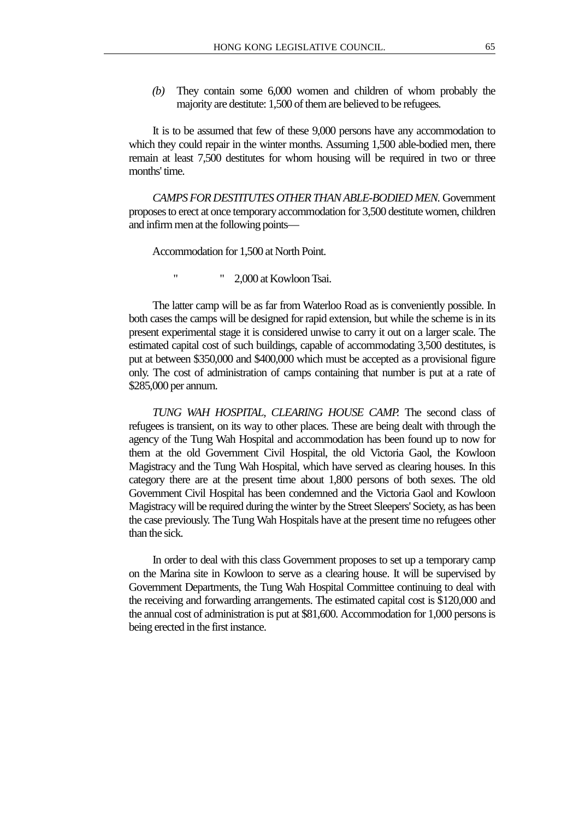*(b)* They contain some 6,000 women and children of whom probably the majority are destitute: 1,500 of them are believed to be refugees.

It is to be assumed that few of these 9,000 persons have any accommodation to which they could repair in the winter months. Assuming 1,500 able-bodied men, there remain at least 7,500 destitutes for whom housing will be required in two or three months' time.

*CAMPS FOR DESTITUTES OTHER THAN ABLE-BODIED MEN.* Government proposes to erect at once temporary accommodation for 3,500 destitute women, children and infirm men at the following points—

Accommodation for 1,500 at North Point.

" " 2,000 at Kowloon Tsai.

The latter camp will be as far from Waterloo Road as is conveniently possible. In both cases the camps will be designed for rapid extension, but while the scheme is in its present experimental stage it is considered unwise to carry it out on a larger scale. The estimated capital cost of such buildings, capable of accommodating 3,500 destitutes, is put at between \$350,000 and \$400,000 which must be accepted as a provisional figure only. The cost of administration of camps containing that number is put at a rate of \$285,000 per annum.

*TUNG WAH HOSPITAL, CLEARING HOUSE CAMP.* The second class of refugees is transient, on its way to other places. These are being dealt with through the agency of the Tung Wah Hospital and accommodation has been found up to now for them at the old Government Civil Hospital, the old Victoria Gaol, the Kowloon Magistracy and the Tung Wah Hospital, which have served as clearing houses. In this category there are at the present time about 1,800 persons of both sexes. The old Government Civil Hospital has been condemned and the Victoria Gaol and Kowloon Magistracy will be required during the winter by the Street Sleepers' Society, as has been the case previously. The Tung Wah Hospitals have at the present time no refugees other than the sick.

In order to deal with this class Government proposes to set up a temporary camp on the Marina site in Kowloon to serve as a clearing house. It will be supervised by Government Departments, the Tung Wah Hospital Committee continuing to deal with the receiving and forwarding arrangements. The estimated capital cost is \$120,000 and the annual cost of administration is put at \$81,600. Accommodation for 1,000 persons is being erected in the first instance.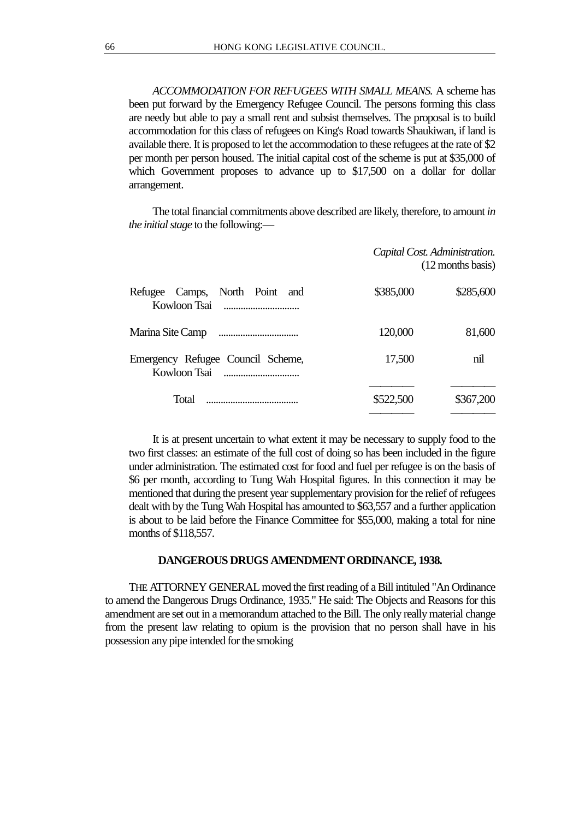*ACCOMMODATION FOR REFUGEES WITH SMALL MEANS.* A scheme has been put forward by the Emergency Refugee Council. The persons forming this class are needy but able to pay a small rent and subsist themselves. The proposal is to build accommodation for this class of refugees on King's Road towards Shaukiwan, if land is available there. It is proposed to let the accommodation to these refugees at the rate of \$2 per month per person housed. The initial capital cost of the scheme is put at \$35,000 of which Government proposes to advance up to \$17,500 on a dollar for dollar arrangement.

The total financial commitments above described are likely, therefore, to amount *in the initial stage* to the following:—

|                                                   | Capital Cost. Administration.<br>(12 months basis) |           |
|---------------------------------------------------|----------------------------------------------------|-----------|
| Refugee Camps, North Point<br>and                 | \$385,000                                          | \$285,600 |
| Marina Site Camp<br>                              | 120,000                                            | 81,600    |
| Emergency Refugee Council Scheme,<br>Kowloon Tsai | 17,500                                             | nil       |
| Total                                             | \$522,500                                          | \$367,200 |

It is at present uncertain to what extent it may be necessary to supply food to the two first classes: an estimate of the full cost of doing so has been included in the figure under administration. The estimated cost for food and fuel per refugee is on the basis of \$6 per month, according to Tung Wah Hospital figures. In this connection it may be mentioned that during the present year supplementary provision for the relief of refugees dealt with by the Tung Wah Hospital has amounted to \$63,557 and a further application is about to be laid before the Finance Committee for \$55,000, making a total for nine months of \$118,557.

## **DANGEROUS DRUGS AMENDMENT ORDINANCE, 1938.**

THE ATTORNEY GENERAL moved the first reading of a Bill intituled "An Ordinance to amend the Dangerous Drugs Ordinance, 1935." He said: The Objects and Reasons for this amendment are set out in a memorandum attached to the Bill. The only really material change from the present law relating to opium is the provision that no person shall have in his possession any pipe intended for the smoking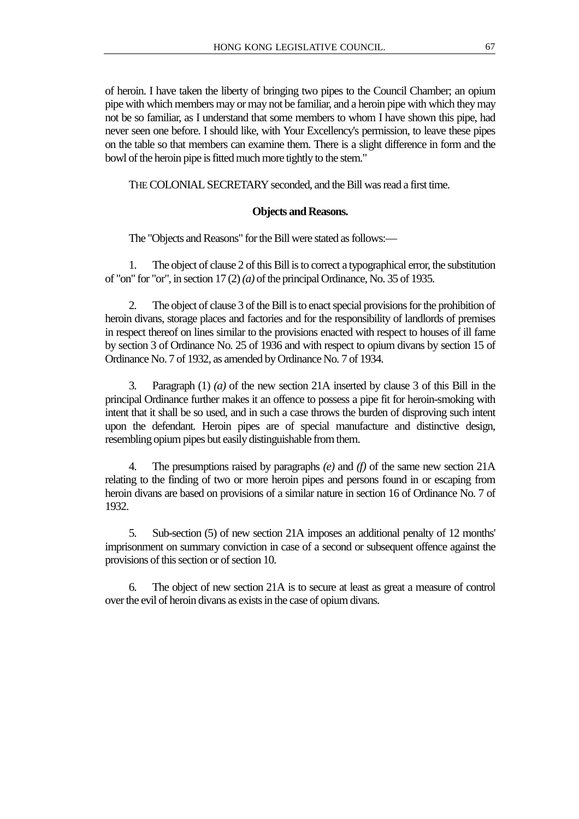of heroin. I have taken the liberty of bringing two pipes to the Council Chamber; an opium pipe with which members may or may not be familiar, and a heroin pipe with which they may not be so familiar, as I understand that some members to whom I have shown this pipe, had never seen one before. I should like, with Your Excellency's permission, to leave these pipes on the table so that members can examine them. There is a slight difference in form and the bowl of the heroin pipe is fitted much more tightly to the stem."

THE COLONIAL SECRETARY seconded, and the Bill was read a first time.

#### **Objects and Reasons.**

The "Objects and Reasons" for the Bill were stated as follows:—

1. The object of clause 2 of this Bill is to correct a typographical error, the substitution of "on" for "or", in section 17 (2) *(a)* of the principal Ordinance, No. 35 of 1935.

2. The object of clause 3 of the Bill is to enact special provisions for the prohibition of heroin divans, storage places and factories and for the responsibility of landlords of premises in respect thereof on lines similar to the provisions enacted with respect to houses of ill fame by section 3 of Ordinance No. 25 of 1936 and with respect to opium divans by section 15 of Ordinance No. 7 of 1932, as amended by Ordinance No. 7 of 1934.

3. Paragraph (1) *(a)* of the new section 21A inserted by clause 3 of this Bill in the principal Ordinance further makes it an offence to possess a pipe fit for heroin-smoking with intent that it shall be so used, and in such a case throws the burden of disproving such intent upon the defendant. Heroin pipes are of special manufacture and distinctive design, resembling opium pipes but easily distinguishable from them.

4. The presumptions raised by paragraphs *(e)* and *(f)* of the same new section 21A relating to the finding of two or more heroin pipes and persons found in or escaping from heroin divans are based on provisions of a similar nature in section 16 of Ordinance No. 7 of 1932.

5. Sub-section (5) of new section 21A imposes an additional penalty of 12 months' imprisonment on summary conviction in case of a second or subsequent offence against the provisions of this section or of section 10.

6. The object of new section 21A is to secure at least as great a measure of control over the evil of heroin divans as exists in the case of opium divans.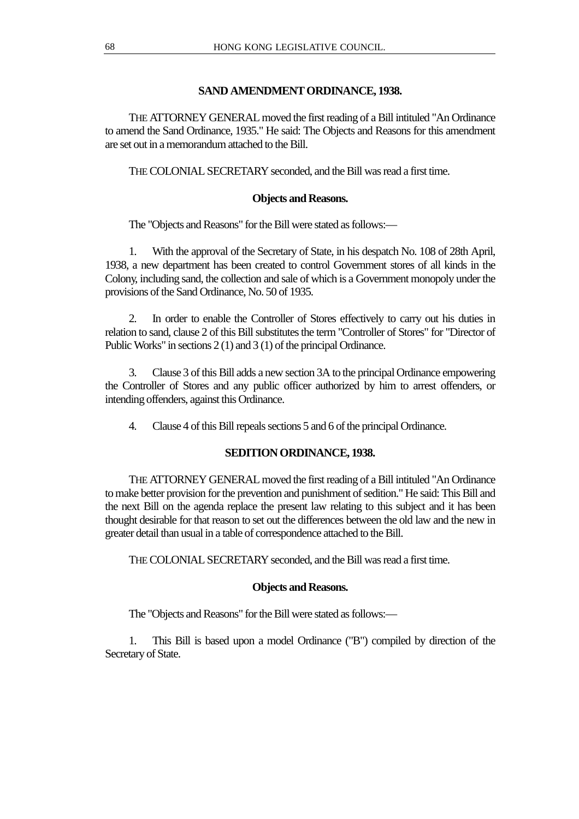## **SAND AMENDMENT ORDINANCE, 1938.**

THE ATTORNEY GENERAL moved the first reading of a Bill intituled "An Ordinance to amend the Sand Ordinance, 1935." He said: The Objects and Reasons for this amendment are set out in a memorandum attached to the Bill.

THE COLONIAL SECRETARY seconded, and the Bill was read a first time.

## **Objects and Reasons.**

The "Objects and Reasons" for the Bill were stated as follows:—

1. With the approval of the Secretary of State, in his despatch No. 108 of 28th April, 1938, a new department has been created to control Government stores of all kinds in the Colony, including sand, the collection and sale of which is a Government monopoly under the provisions of the Sand Ordinance, No. 50 of 1935.

2. In order to enable the Controller of Stores effectively to carry out his duties in relation to sand, clause 2 of this Bill substitutes the term "Controller of Stores" for "Director of Public Works" in sections 2 (1) and 3 (1) of the principal Ordinance.

3. Clause 3 of this Bill adds a new section 3A to the principal Ordinance empowering the Controller of Stores and any public officer authorized by him to arrest offenders, or intending offenders, against this Ordinance.

4. Clause 4 of this Bill repeals sections 5 and 6 of the principal Ordinance.

#### **SEDITION ORDINANCE, 1938.**

THE ATTORNEY GENERAL moved the first reading of a Bill intituled "An Ordinance to make better provision for the prevention and punishment of sedition." He said: This Bill and the next Bill on the agenda replace the present law relating to this subject and it has been thought desirable for that reason to set out the differences between the old law and the new in greater detail than usual in a table of correspondence attached to the Bill.

THE COLONIAL SECRETARY seconded, and the Bill was read a first time.

#### **Objects and Reasons.**

The "Objects and Reasons" for the Bill were stated as follows:—

1. This Bill is based upon a model Ordinance ("B") compiled by direction of the Secretary of State.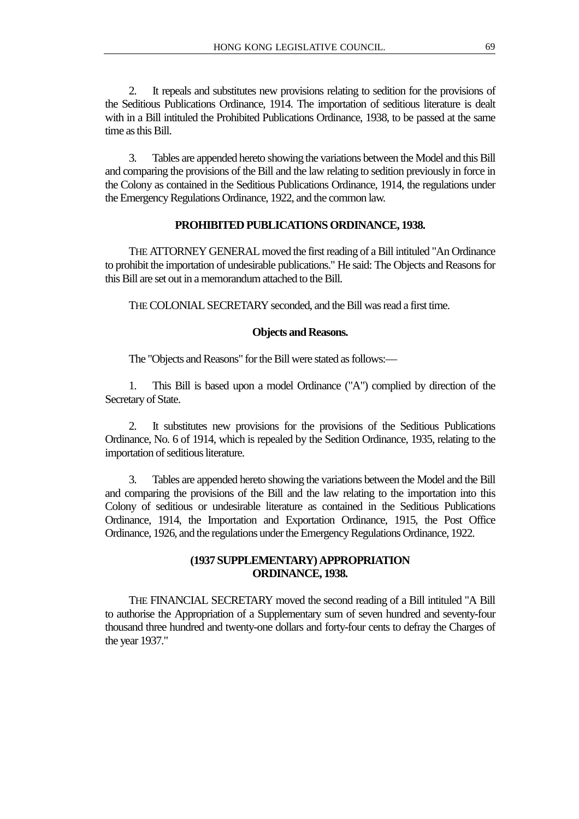2. It repeals and substitutes new provisions relating to sedition for the provisions of the Seditious Publications Ordinance, 1914. The importation of seditious literature is dealt with in a Bill intituled the Prohibited Publications Ordinance, 1938, to be passed at the same time as this Bill.

3. Tables are appended hereto showing the variations between the Model and this Bill and comparing the provisions of the Bill and the law relating to sedition previously in force in the Colony as contained in the Seditious Publications Ordinance, 1914, the regulations under the Emergency Regulations Ordinance, 1922, and the common law.

#### **PROHIBITED PUBLICATIONS ORDINANCE, 1938.**

THE ATTORNEY GENERAL moved the first reading of a Bill intituled "An Ordinance to prohibit the importation of undesirable publications." He said: The Objects and Reasons for this Bill are set out in a memorandum attached to the Bill.

THE COLONIAL SECRETARY seconded, and the Bill was read a first time.

## **Objects and Reasons.**

The "Objects and Reasons" for the Bill were stated as follows:—

1. This Bill is based upon a model Ordinance ("A") complied by direction of the Secretary of State.

2. It substitutes new provisions for the provisions of the Seditious Publications Ordinance, No. 6 of 1914, which is repealed by the Sedition Ordinance, 1935, relating to the importation of seditious literature.

3. Tables are appended hereto showing the variations between the Model and the Bill and comparing the provisions of the Bill and the law relating to the importation into this Colony of seditious or undesirable literature as contained in the Seditious Publications Ordinance, 1914, the Importation and Exportation Ordinance, 1915, the Post Office Ordinance, 1926, and the regulations under the Emergency Regulations Ordinance, 1922.

## **(1937 SUPPLEMENTARY) APPROPRIATION ORDINANCE, 1938.**

THE FINANCIAL SECRETARY moved the second reading of a Bill intituled "A Bill to authorise the Appropriation of a Supplementary sum of seven hundred and seventy-four thousand three hundred and twenty-one dollars and forty-four cents to defray the Charges of the year 1937."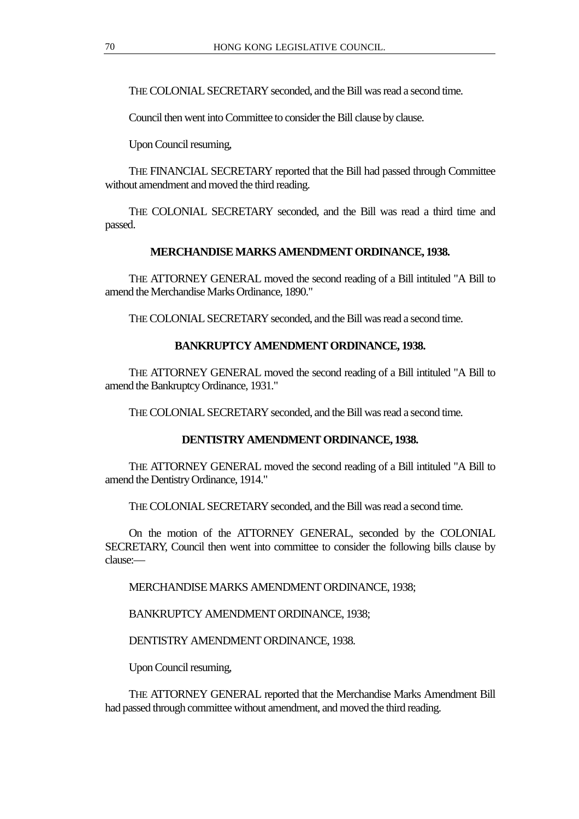THE COLONIAL SECRETARY seconded, and the Bill was read a second time.

Council then went into Committee to consider the Bill clause by clause.

Upon Council resuming,

THE FINANCIAL SECRETARY reported that the Bill had passed through Committee without amendment and moved the third reading.

THE COLONIAL SECRETARY seconded, and the Bill was read a third time and passed.

## **MERCHANDISE MARKS AMENDMENT ORDINANCE, 1938.**

THE ATTORNEY GENERAL moved the second reading of a Bill intituled "A Bill to amend the Merchandise Marks Ordinance, 1890."

THE COLONIAL SECRETARY seconded, and the Bill was read a second time.

## **BANKRUPTCY AMENDMENT ORDINANCE, 1938.**

THE ATTORNEY GENERAL moved the second reading of a Bill intituled "A Bill to amend the Bankruptcy Ordinance, 1931."

THE COLONIAL SECRETARY seconded, and the Bill was read a second time.

#### **DENTISTRY AMENDMENT ORDINANCE, 1938.**

THE ATTORNEY GENERAL moved the second reading of a Bill intituled "A Bill to amend the Dentistry Ordinance, 1914."

THE COLONIAL SECRETARY seconded, and the Bill was read a second time.

On the motion of the ATTORNEY GENERAL, seconded by the COLONIAL SECRETARY, Council then went into committee to consider the following bills clause by clause:—

MERCHANDISE MARKS AMENDMENT ORDINANCE, 1938;

BANKRUPTCY AMENDMENT ORDINANCE, 1938;

#### DENTISTRY AMENDMENT ORDINANCE, 1938.

Upon Council resuming,

THE ATTORNEY GENERAL reported that the Merchandise Marks Amendment Bill had passed through committee without amendment, and moved the third reading.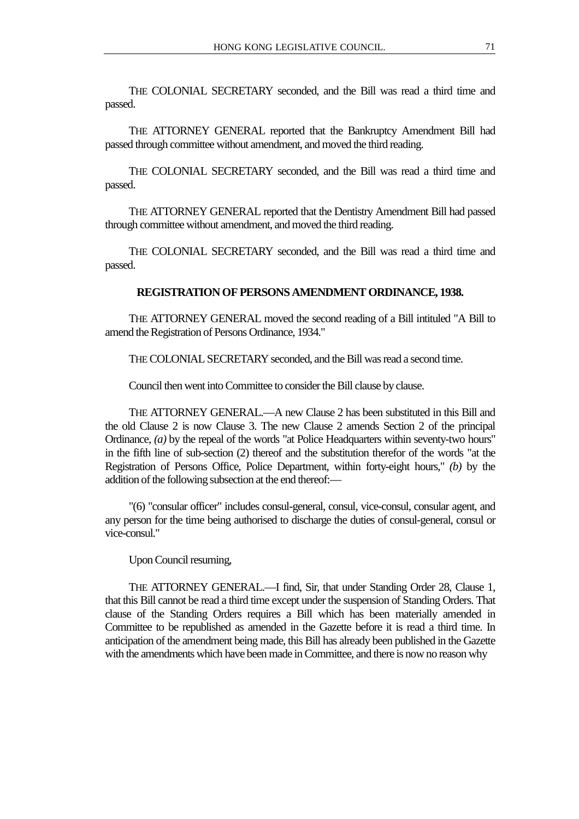THE COLONIAL SECRETARY seconded, and the Bill was read a third time and passed.

THE ATTORNEY GENERAL reported that the Bankruptcy Amendment Bill had passed through committee without amendment, and moved the third reading.

THE COLONIAL SECRETARY seconded, and the Bill was read a third time and passed.

THE ATTORNEY GENERAL reported that the Dentistry Amendment Bill had passed through committee without amendment, and moved the third reading.

THE COLONIAL SECRETARY seconded, and the Bill was read a third time and passed.

## **REGISTRATION OF PERSONS AMENDMENT ORDINANCE, 1938.**

THE ATTORNEY GENERAL moved the second reading of a Bill intituled "A Bill to amend the Registration of Persons Ordinance, 1934."

THE COLONIAL SECRETARY seconded, and the Bill was read a second time.

Council then went into Committee to consider the Bill clause by clause.

THE ATTORNEY GENERAL.—A new Clause 2 has been substituted in this Bill and the old Clause 2 is now Clause 3. The new Clause 2 amends Section 2 of the principal Ordinance, *(a)* by the repeal of the words "at Police Headquarters within seventy-two hours" in the fifth line of sub-section (2) thereof and the substitution therefor of the words "at the Registration of Persons Office, Police Department, within forty-eight hours," *(b)* by the addition of the following subsection at the end thereof:—

"(6) "consular officer" includes consul-general, consul, vice-consul, consular agent, and any person for the time being authorised to discharge the duties of consul-general, consul or vice-consul."

Upon Council resuming,

THE ATTORNEY GENERAL.—I find, Sir, that under Standing Order 28, Clause 1, that this Bill cannot be read a third time except under the suspension of Standing Orders. That clause of the Standing Orders requires a Bill which has been materially amended in Committee to be republished as amended in the Gazette before it is read a third time. In anticipation of the amendment being made, this Bill has already been published in the Gazette with the amendments which have been made in Committee, and there is now no reason why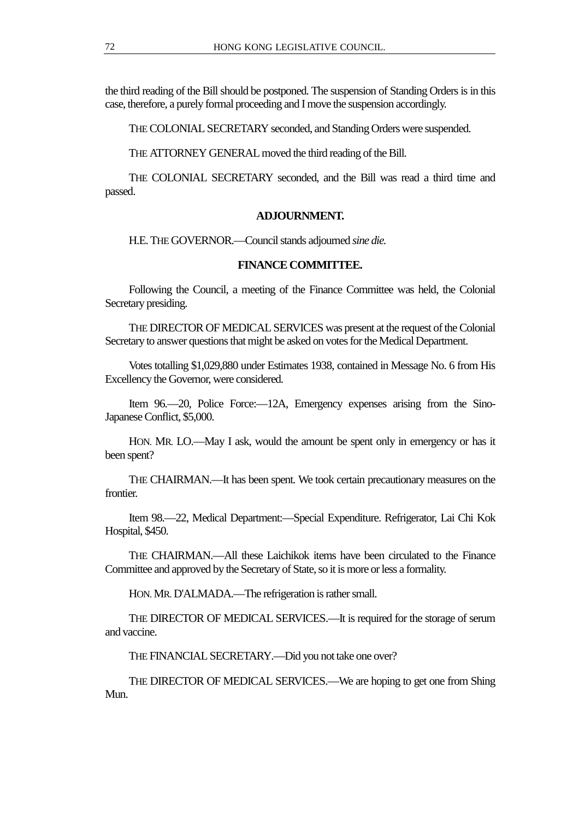the third reading of the Bill should be postponed. The suspension of Standing Orders is in this case, therefore, a purely formal proceeding and I move the suspension accordingly.

THE COLONIAL SECRETARY seconded, and Standing Orders were suspended.

THE ATTORNEY GENERAL moved the third reading of the Bill.

THE COLONIAL SECRETARY seconded, and the Bill was read a third time and passed.

## **ADJOURNMENT.**

H.E. THE GOVERNOR.—Council stands adjourned *sine die.*

## **FINANCE COMMITTEE.**

Following the Council, a meeting of the Finance Committee was held, the Colonial Secretary presiding.

THE DIRECTOR OF MEDICAL SERVICES was present at the request of the Colonial Secretary to answer questions that might be asked on votes for the Medical Department.

Votes totalling \$1,029,880 under Estimates 1938, contained in Message No. 6 from His Excellency the Governor, were considered.

Item 96.—20, Police Force:—12A, Emergency expenses arising from the Sino-Japanese Conflict, \$5,000.

HON. MR. LO.—May I ask, would the amount be spent only in emergency or has it been spent?

THE CHAIRMAN.—It has been spent. We took certain precautionary measures on the frontier.

Item 98.—22, Medical Department:—Special Expenditure. Refrigerator, Lai Chi Kok Hospital, \$450.

THE CHAIRMAN.—All these Laichikok items have been circulated to the Finance Committee and approved by the Secretary of State, so it is more or less a formality.

HON. MR. D'ALMADA.—The refrigeration is rather small.

THE DIRECTOR OF MEDICAL SERVICES.—It is required for the storage of serum and vaccine.

THE FINANCIAL SECRETARY.—Did you not take one over?

THE DIRECTOR OF MEDICAL SERVICES.—We are hoping to get one from Shing Mun.